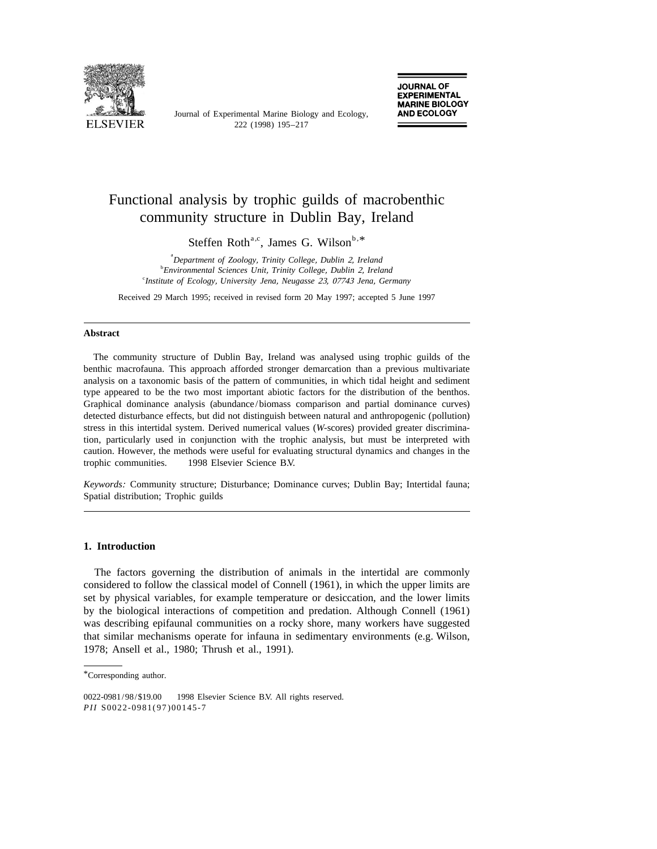

Journal of Experimental Marine Biology and Ecology,

# Functional analysis by trophic guilds of macrobenthic community structure in Dublin Bay, Ireland

Steffen Roth<sup>a,c</sup>, James G. Wilson<sup>b,\*</sup>

a *Department of Zoology*, *Trinity College*, *Dublin* 2, *Ireland* b *Environmental Sciences Unit*, *Trinity College*, *Dublin* 2, *Ireland* c *Institute of Ecology*, *University Jena*, *Neugasse* 23, <sup>07743</sup> *Jena*, *Germany*

Received 29 March 1995; received in revised form 20 May 1997; accepted 5 June 1997

#### **Abstract**

The community structure of Dublin Bay, Ireland was analysed using trophic guilds of the benthic macrofauna. This approach afforded stronger demarcation than a previous multivariate analysis on a taxonomic basis of the pattern of communities, in which tidal height and sediment type appeared to be the two most important abiotic factors for the distribution of the benthos. Graphical dominance analysis (abundance/biomass comparison and partial dominance curves) detected disturbance effects, but did not distinguish between natural and anthropogenic (pollution) stress in this intertidal system. Derived numerical values (*W*-scores) provided greater discrimination, particularly used in conjunction with the trophic analysis, but must be interpreted with caution. However, the methods were useful for evaluating structural dynamics and changes in the trophic communities.  $\circ$  1998 Elsevier Science B.V.

*Keywords*: Community structure; Disturbance; Dominance curves; Dublin Bay; Intertidal fauna; Spatial distribution; Trophic guilds

# **1. Introduction**

The factors governing the distribution of animals in the intertidal are commonly considered to follow the classical model of Connell (1961), in which the upper limits are set by physical variables, for example temperature or desiccation, and the lower limits by the biological interactions of competition and predation. Although Connell (1961) was describing epifaunal communities on a rocky shore, many workers have suggested that similar mechanisms operate for infauna in sedimentary environments (e.g. Wilson, 1978; Ansell et al., 1980; Thrush et al., 1991).

<sup>\*</sup>Corresponding author.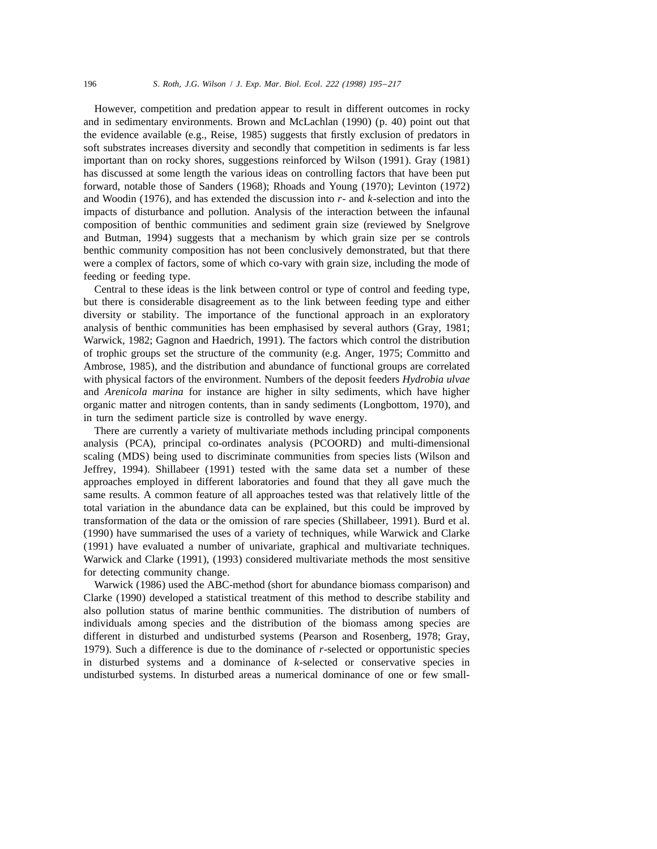However, competition and predation appear to result in different outcomes in rocky and in sedimentary environments. Brown and McLachlan (1990) (p. 40) point out that the evidence available (e.g., Reise, 1985) suggests that firstly exclusion of predators in soft substrates increases diversity and secondly that competition in sediments is far less important than on rocky shores, suggestions reinforced by Wilson (1991). Gray (1981) has discussed at some length the various ideas on controlling factors that have been put forward, notable those of Sanders (1968); Rhoads and Young (1970); Levinton (1972) and Woodin (1976), and has extended the discussion into *r*- and *k*-selection and into the impacts of disturbance and pollution. Analysis of the interaction between the infaunal composition of benthic communities and sediment grain size (reviewed by Snelgrove and Butman, 1994) suggests that a mechanism by which grain size per se controls benthic community composition has not been conclusively demonstrated, but that there were a complex of factors, some of which co-vary with grain size, including the mode of feeding or feeding type.

Central to these ideas is the link between control or type of control and feeding type, but there is considerable disagreement as to the link between feeding type and either diversity or stability. The importance of the functional approach in an exploratory analysis of benthic communities has been emphasised by several authors (Gray, 1981; Warwick, 1982; Gagnon and Haedrich, 1991). The factors which control the distribution of trophic groups set the structure of the community (e.g. Anger, 1975; Committo and Ambrose, 1985), and the distribution and abundance of functional groups are correlated with physical factors of the environment. Numbers of the deposit feeders *Hydrobia ulvae* and *Arenicola marina* for instance are higher in silty sediments, which have higher organic matter and nitrogen contents, than in sandy sediments (Longbottom, 1970), and in turn the sediment particle size is controlled by wave energy.

There are currently a variety of multivariate methods including principal components analysis (PCA), principal co-ordinates analysis (PCOORD) and multi-dimensional scaling (MDS) being used to discriminate communities from species lists (Wilson and Jeffrey, 1994). Shillabeer (1991) tested with the same data set a number of these approaches employed in different laboratories and found that they all gave much the same results. A common feature of all approaches tested was that relatively little of the total variation in the abundance data can be explained, but this could be improved by transformation of the data or the omission of rare species (Shillabeer, 1991). Burd et al. (1990) have summarised the uses of a variety of techniques, while Warwick and Clarke (1991) have evaluated a number of univariate, graphical and multivariate techniques. Warwick and Clarke (1991), (1993) considered multivariate methods the most sensitive for detecting community change.

Warwick (1986) used the ABC-method (short for abundance biomass comparison) and Clarke (1990) developed a statistical treatment of this method to describe stability and also pollution status of marine benthic communities. The distribution of numbers of individuals among species and the distribution of the biomass among species are different in disturbed and undisturbed systems (Pearson and Rosenberg, 1978; Gray, 1979). Such a difference is due to the dominance of *r*-selected or opportunistic species in disturbed systems and a dominance of *k*-selected or conservative species in undisturbed systems. In disturbed areas a numerical dominance of one or few small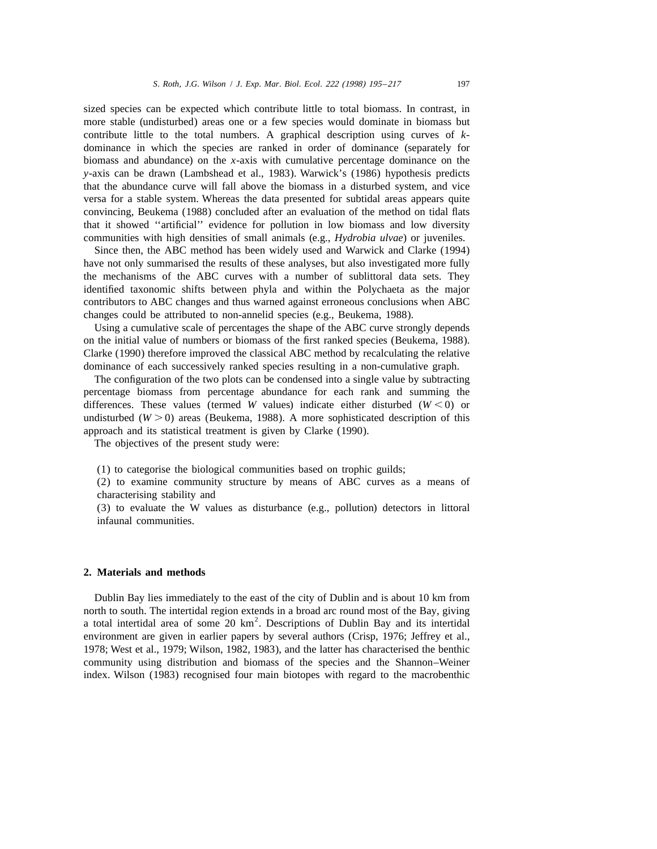sized species can be expected which contribute little to total biomass. In contrast, in more stable (undisturbed) areas one or a few species would dominate in biomass but contribute little to the total numbers. A graphical description using curves of *k*dominance in which the species are ranked in order of dominance (separately for biomass and abundance) on the *x*-axis with cumulative percentage dominance on the *y*-axis can be drawn (Lambshead et al., 1983). Warwick's (1986) hypothesis predicts that the abundance curve will fall above the biomass in a disturbed system, and vice versa for a stable system. Whereas the data presented for subtidal areas appears quite convincing, Beukema (1988) concluded after an evaluation of the method on tidal flats that it showed ''artificial'' evidence for pollution in low biomass and low diversity communities with high densities of small animals (e.g., *Hydrobia ulvae*) or juveniles.

Since then, the ABC method has been widely used and Warwick and Clarke (1994) have not only summarised the results of these analyses, but also investigated more fully the mechanisms of the ABC curves with a number of sublittoral data sets. They identified taxonomic shifts between phyla and within the Polychaeta as the major contributors to ABC changes and thus warned against erroneous conclusions when ABC changes could be attributed to non-annelid species (e.g., Beukema, 1988).

Using a cumulative scale of percentages the shape of the ABC curve strongly depends on the initial value of numbers or biomass of the first ranked species (Beukema, 1988). Clarke (1990) therefore improved the classical ABC method by recalculating the relative dominance of each successively ranked species resulting in a non-cumulative graph.

The configuration of the two plots can be condensed into a single value by subtracting percentage biomass from percentage abundance for each rank and summing the differences. These values (termed *W* values) indicate either disturbed ( $W < 0$ ) or undisturbed  $(W > 0)$  areas (Beukema, 1988). A more sophisticated description of this approach and its statistical treatment is given by Clarke (1990).

The objectives of the present study were:

(1) to categorise the biological communities based on trophic guilds;

(2) to examine community structure by means of ABC curves as a means of characterising stability and

(3) to evaluate the W values as disturbance (e.g., pollution) detectors in littoral infaunal communities.

### **2. Materials and methods**

Dublin Bay lies immediately to the east of the city of Dublin and is about 10 km from north to south. The intertidal region extends in a broad arc round most of the Bay, giving a total intertidal area of some  $20 \text{ km}^2$ . Descriptions of Dublin Bay and its intertidal environment are given in earlier papers by several authors (Crisp, 1976; Jeffrey et al., 1978; West et al., 1979; Wilson, 1982, 1983), and the latter has characterised the benthic community using distribution and biomass of the species and the Shannon–Weiner index. Wilson (1983) recognised four main biotopes with regard to the macrobenthic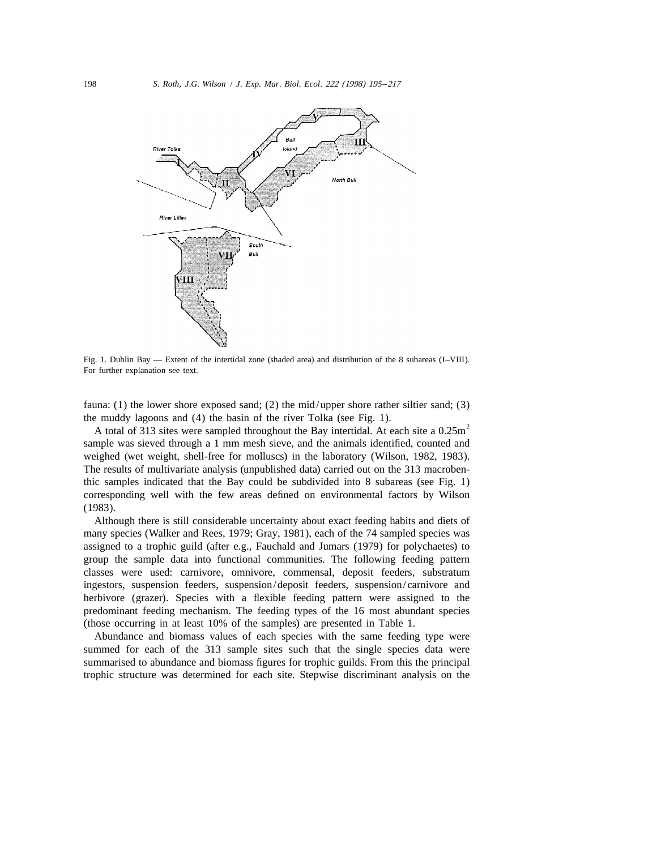

Fig. 1. Dublin Bay — Extent of the intertidal zone (shaded area) and distribution of the 8 subareas (I–VIII). For further explanation see text.

fauna: (1) the lower shore exposed sand; (2) the mid/upper shore rather siltier sand; (3) the muddy lagoons and (4) the basin of the river Tolka (see Fig. 1).<br>A total of 313 sites were sampled throughout the Bay intertidal. At each site a 0.25m<sup>2</sup>

sample was sieved through a 1 mm mesh sieve, and the animals identified, counted and weighed (wet weight, shell-free for molluscs) in the laboratory (Wilson, 1982, 1983). The results of multivariate analysis (unpublished data) carried out on the 313 macrobenthic samples indicated that the Bay could be subdivided into 8 subareas (see Fig. 1) corresponding well with the few areas defined on environmental factors by Wilson (1983).

Although there is still considerable uncertainty about exact feeding habits and diets of many species (Walker and Rees, 1979; Gray, 1981), each of the 74 sampled species was assigned to a trophic guild (after e.g., Fauchald and Jumars (1979) for polychaetes) to group the sample data into functional communities. The following feeding pattern classes were used: carnivore, omnivore, commensal, deposit feeders, substratum ingestors, suspension feeders, suspension/deposit feeders, suspension/carnivore and herbivore (grazer). Species with a flexible feeding pattern were assigned to the predominant feeding mechanism. The feeding types of the 16 most abundant species (those occurring in at least 10% of the samples) are presented in Table 1.

Abundance and biomass values of each species with the same feeding type were summed for each of the 313 sample sites such that the single species data were summarised to abundance and biomass figures for trophic guilds. From this the principal trophic structure was determined for each site. Stepwise discriminant analysis on the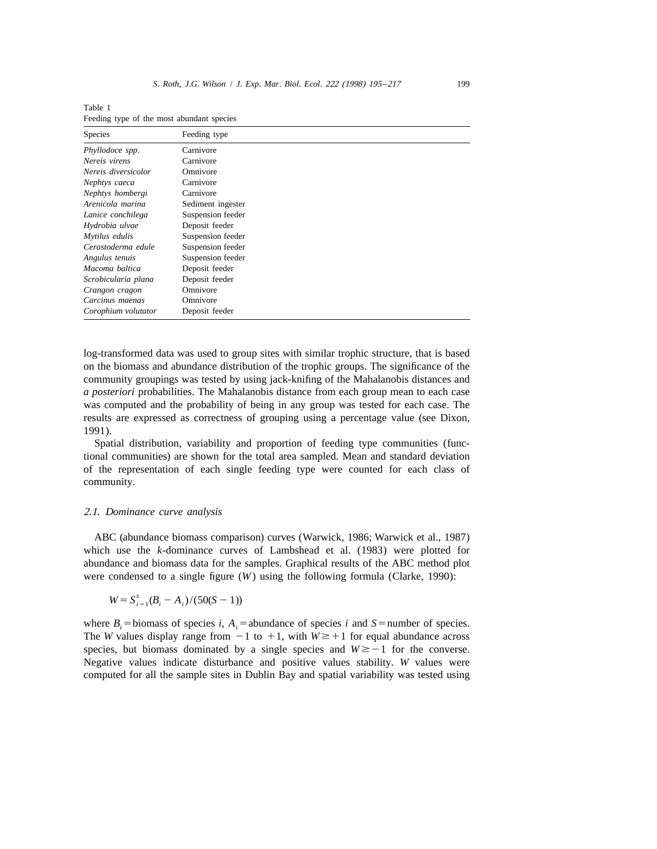| <b>Species</b>      | Feeding type      |
|---------------------|-------------------|
| Phyllodoce spp.     | Carnivore         |
| Nereis virens       | Carnivore         |
| Nereis diversicolor | Omnivore          |
| Nephtys caeca       | Carnivore         |
| Nephtys hombergi    | Carnivore         |
| Arenicola marina    | Sediment ingester |
| Lanice conchilega   | Suspension feeder |
| Hydrobia ulvae      | Deposit feeder    |
| Mytilus edulis      | Suspension feeder |
| Cerastoderma edule  | Suspension feeder |
| Angulus tenuis      | Suspension feeder |
| Macoma baltica      | Deposit feeder    |
| Scrobicularia plana | Deposit feeder    |
| Crangon cragon      | Omnivore          |
| Carcinus maenas     | Omnivore          |
| Corophium volutator | Deposit feeder    |

Table 1 Feeding type of the most abundant species

log-transformed data was used to group sites with similar trophic structure, that is based on the biomass and abundance distribution of the trophic groups. The significance of the community groupings was tested by using jack-knifing of the Mahalanobis distances and *a posteriori* probabilities. The Mahalanobis distance from each group mean to each case was computed and the probability of being in any group was tested for each case. The results are expressed as correctness of grouping using a percentage value (see Dixon, 1991).

Spatial distribution, variability and proportion of feeding type communities (functional communities) are shown for the total area sampled. Mean and standard deviation of the representation of each single feeding type were counted for each class of community.

#### 2.1. *Dominance curve analysis*

ABC (abundance biomass comparison) curves (Warwick, 1986; Warwick et al., 1987) which use the *k*-dominance curves of Lambshead et al. (1983) were plotted for abundance and biomass data for the samples. Graphical results of the ABC method plot were condensed to a single figure (*W*) using the following formula (Clarke, 1990):

$$
W = S_{i=1}^{s}(B_i - A_i)/(50(S - 1))
$$

where  $B_i$  = biomass of species *i*,  $A_i$  = abundance of species *i* and *S* = number of species. The *W* values display range from  $-1$  to  $+1$ , with  $W \geq +1$  for equal abundance across species, but biomass dominated by a single species and  $W \ge -1$  for the converse. Negative values indicate disturbance and positive values stability. *W* values were computed for all the sample sites in Dublin Bay and spatial variability was tested using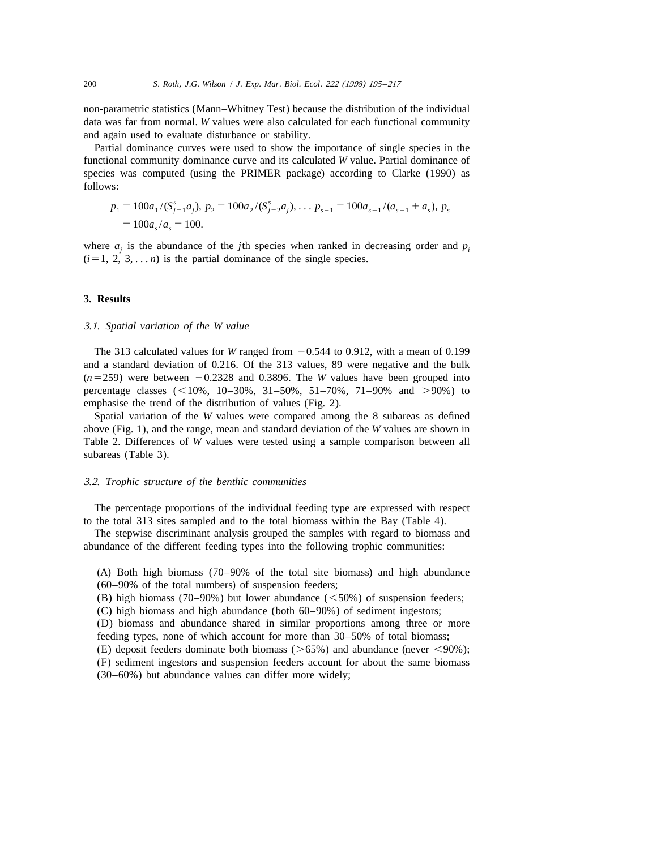non-parametric statistics (Mann–Whitney Test) because the distribution of the individual data was far from normal. *W* values were also calculated for each functional community and again used to evaluate disturbance or stability.

Partial dominance curves were used to show the importance of single species in the functional community dominance curve and its calculated *W* value. Partial dominance of species was computed (using the PRIMER package) according to Clarke (1990) as follows:

$$
p_1 = 100a_1/(S_{j=1}^s a_j), p_2 = 100a_2/(S_{j=2}^s a_j), \dots p_{s-1} = 100a_{s-1}/(a_{s-1} + a_s), p_s
$$
  
= 100a\_s/a\_s = 100.

where  $a_i$  is the abundance of the *j*th species when ranked in decreasing order and  $p_i$  $(i=1, 2, 3, \ldots n)$  is the partial dominance of the single species.

### **3. Results**

#### 3.1. *Spatial variation of the W value*

The 313 calculated values for *W* ranged from  $-0.544$  to 0.912, with a mean of 0.199 and a standard deviation of 0.216. Of the 313 values, 89 were negative and the bulk  $(n=259)$  were between  $-0.2328$  and 0.3896. The *W* values have been grouped into percentage classes  $($  < 10%, 10–30%, 31–50%, 51–70%, 71–90% and  $>$ 90%) to emphasise the trend of the distribution of values (Fig. 2).

Spatial variation of the *W* values were compared among the 8 subareas as defined above (Fig. 1), and the range, mean and standard deviation of the *W* values are shown in Table 2. Differences of *W* values were tested using a sample comparison between all subareas (Table 3).

#### 3.2. *Trophic structure of the benthic communities*

The percentage proportions of the individual feeding type are expressed with respect to the total 313 sites sampled and to the total biomass within the Bay (Table 4).

The stepwise discriminant analysis grouped the samples with regard to biomass and abundance of the different feeding types into the following trophic communities:

(A) Both high biomass (70–90% of the total site biomass) and high abundance (60–90% of the total numbers) of suspension feeders;

(B) high biomass (70–90%) but lower abundance ( $\leq$ 50%) of suspension feeders;

(C) high biomass and high abundance (both 60–90%) of sediment ingestors;

(D) biomass and abundance shared in similar proportions among three or more feeding types, none of which account for more than 30–50% of total biomass;

(E) deposit feeders dominate both biomass ( $>65\%$ ) and abundance (never  $<$ 90%);

(F) sediment ingestors and suspension feeders account for about the same biomass (30–60%) but abundance values can differ more widely;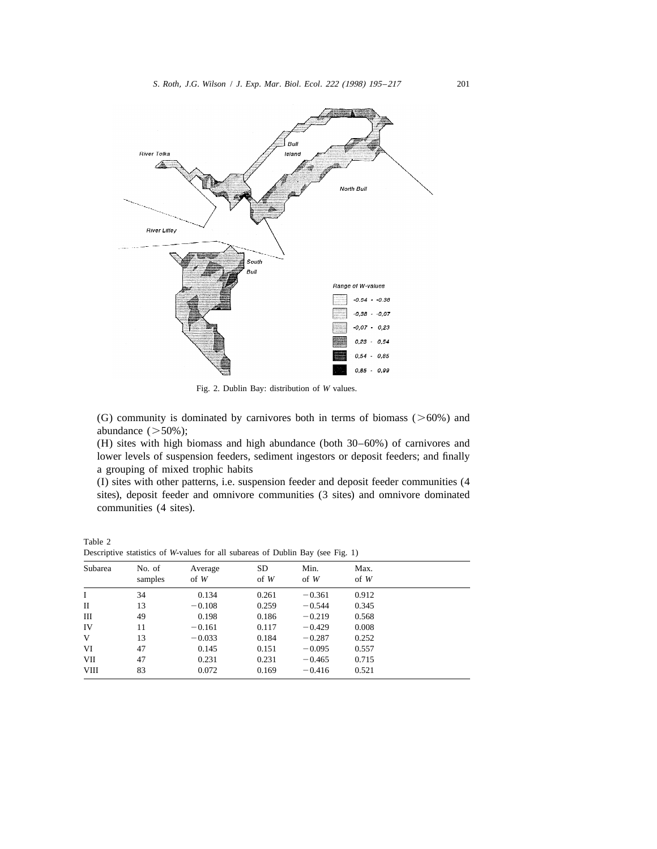

Fig. 2. Dublin Bay: distribution of *W* values.

(G) community is dominated by carnivores both in terms of biomass ( $>60\%$ ) and abundance  $($ >50%);

(H) sites with high biomass and high abundance (both 30–60%) of carnivores and lower levels of suspension feeders, sediment ingestors or deposit feeders; and finally a grouping of mixed trophic habits

(I) sites with other patterns, i.e. suspension feeder and deposit feeder communities (4 sites), deposit feeder and omnivore communities (3 sites) and omnivore dominated communities (4 sites).

| Subarea | No. of<br>samples | Average<br>$of$ W | <b>SD</b><br>$of \ W$ | Min.<br>$of \ W$ | Max.<br>$of \ W$ |  |
|---------|-------------------|-------------------|-----------------------|------------------|------------------|--|
| I       | 34                | 0.134             | 0.261                 | $-0.361$         | 0.912            |  |
| П       | 13                | $-0.108$          | 0.259                 | $-0.544$         | 0.345            |  |
| Ш       | 49                | 0.198             | 0.186                 | $-0.219$         | 0.568            |  |
| IV      | 11                | $-0.161$          | 0.117                 | $-0.429$         | 0.008            |  |
| V       | 13                | $-0.033$          | 0.184                 | $-0.287$         | 0.252            |  |
| VI      | 47                | 0.145             | 0.151                 | $-0.095$         | 0.557            |  |
| VII     | 47                | 0.231             | 0.231                 | $-0.465$         | 0.715            |  |
| VIII    | 83                | 0.072             | 0.169                 | $-0.416$         | 0.521            |  |
|         |                   |                   |                       |                  |                  |  |

Descriptive statistics of *W*-values for all subareas of Dublin Bay (see Fig. 1)

Table 2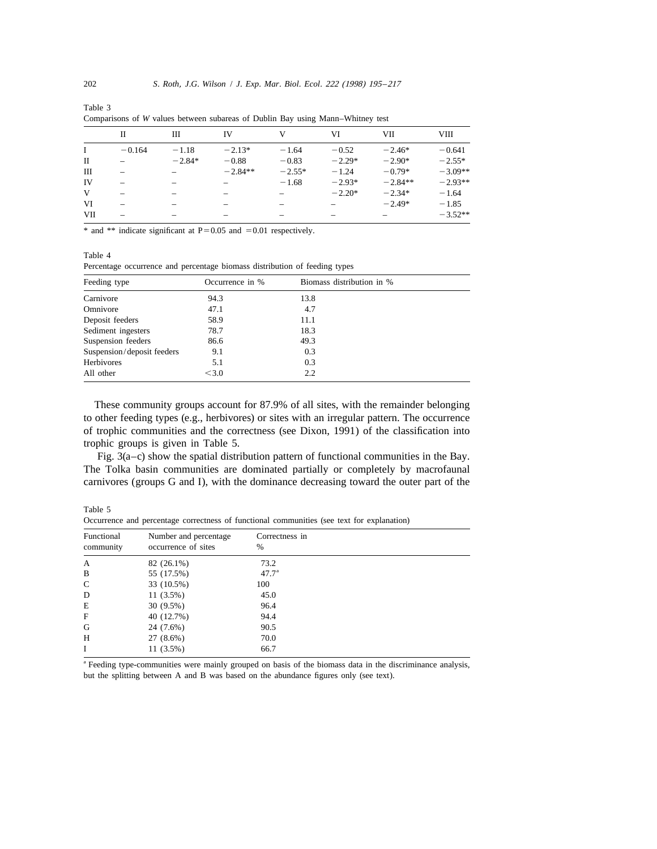|            | П        | Ш        | IV        | V        | VI       | VII       | <b>VIII</b> |
|------------|----------|----------|-----------|----------|----------|-----------|-------------|
| L          | $-0.164$ | $-1.18$  | $-2.13*$  | $-1.64$  | $-0.52$  | $-2.46*$  | $-0.641$    |
| П          |          | $-2.84*$ | $-0.88$   | $-0.83$  | $-2.29*$ | $-2.90*$  | $-2.55*$    |
| Ш          |          |          | $-2.84**$ | $-2.55*$ | $-1.24$  | $-0.79*$  | $-3.09**$   |
| IV         |          |          |           | $-1.68$  | $-2.93*$ | $-2.84**$ | $-2.93**$   |
| V          |          |          |           |          | $-2.20*$ | $-2.34*$  | $-1.64$     |
| VI         |          |          |           |          |          | $-2.49*$  | $-1.85$     |
| <b>VII</b> |          |          |           |          |          |           | $-3.52**$   |

Table 3 Comparisons of *W* values between subareas of Dublin Bay using Mann–Whitney test

\* and \*\* indicate significant at  $P=0.05$  and  $=0.01$  respectively.

#### Table 4

Table 5

Percentage occurrence and percentage biomass distribution of feeding types

| Feeding type               | Biomass distribution in %<br>Occurrence in % |      |  |
|----------------------------|----------------------------------------------|------|--|
| Carnivore                  | 94.3                                         | 13.8 |  |
| Omnivore                   | 47.1                                         | 4.7  |  |
| Deposit feeders            | 58.9                                         | 11.1 |  |
| Sediment ingesters         | 78.7                                         | 18.3 |  |
| Suspension feeders         | 86.6                                         | 49.3 |  |
| Suspension/deposit feeders | 9.1                                          | 0.3  |  |
| Herbivores                 | 5.1                                          | 0.3  |  |
| All other                  | < 3.0                                        | 2.2  |  |

These community groups account for 87.9% of all sites, with the remainder belonging to other feeding types (e.g., herbivores) or sites with an irregular pattern. The occurrence of trophic communities and the correctness (see Dixon, 1991) of the classification into trophic groups is given in Table 5.

Fig. 3(a–c) show the spatial distribution pattern of functional communities in the Bay. The Tolka basin communities are dominated partially or completely by macrofaunal carnivores (groups G and I), with the dominance decreasing toward the outer part of the

| Functional<br>community | Number and percentage<br>occurrence of sites | Correctness in<br>$\%$ |
|-------------------------|----------------------------------------------|------------------------|
| A                       | 82 (26.1%)                                   | 73.2                   |
| B                       | 55 (17.5%)                                   | $47.7^{\circ}$         |
| $\mathsf{C}$            | 33 (10.5%)                                   | 100                    |
| D                       | $11(3.5\%)$                                  | 45.0                   |
| E                       | $30(9.5\%)$                                  | 96.4                   |
| F                       | 40 (12.7%)                                   | 94.4                   |
| G                       | 24 (7.6%)                                    | 90.5                   |
| H                       | $27(8.6\%)$                                  | 70.0                   |
| Ι                       | $11(3.5\%)$                                  | 66.7                   |
|                         |                                              |                        |

Occurrence and percentage correctness of functional communities (see text for explanation)

<sup>a</sup> Feeding type-communities were mainly grouped on basis of the biomass data in the discriminance analysis, but the splitting between A and B was based on the abundance figures only (see text).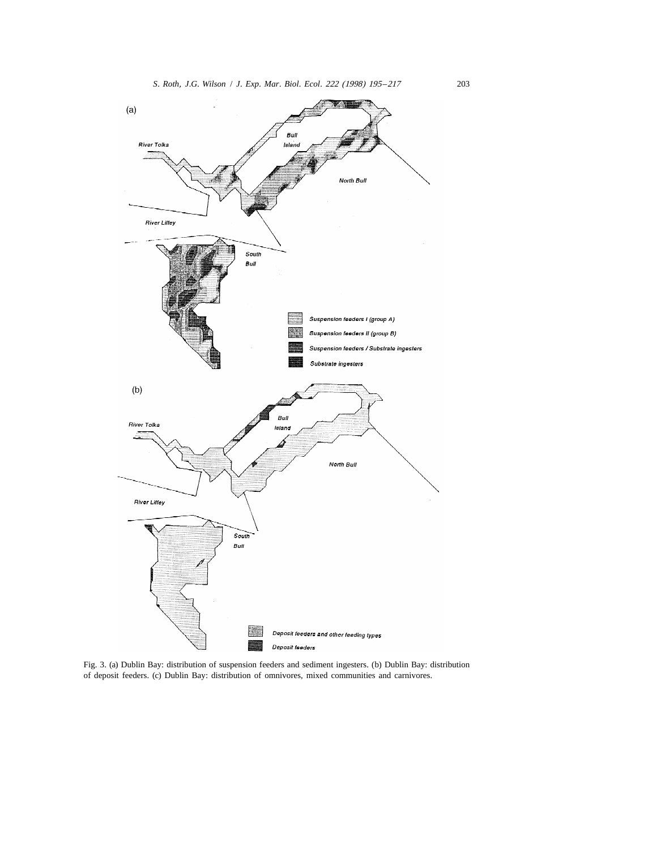

Fig. 3. (a) Dublin Bay: distribution of suspension feeders and sediment ingesters. (b) Dublin Bay: distribution of deposit feeders. (c) Dublin Bay: distribution of omnivores, mixed communities and carnivores.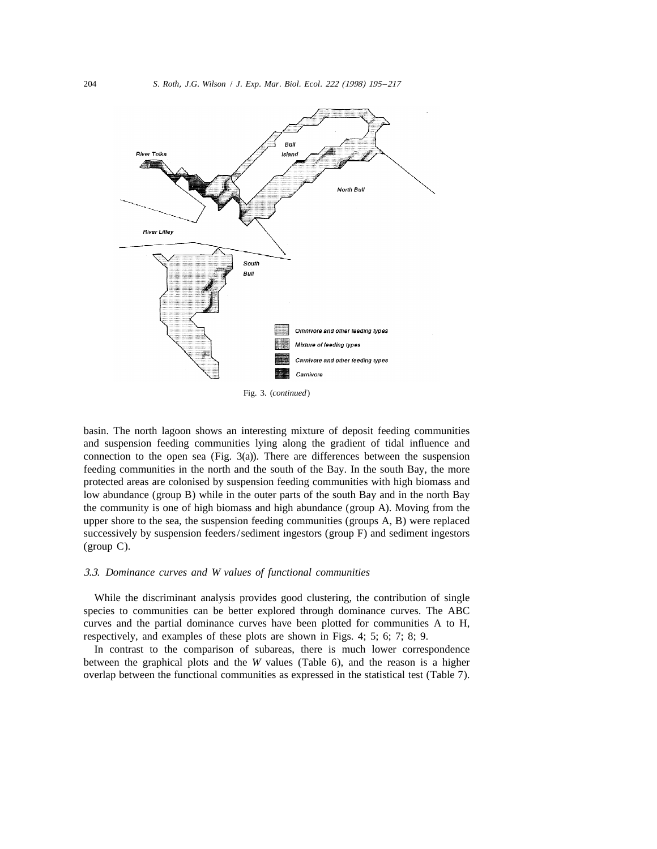

Fig. 3. (*continued*)

basin. The north lagoon shows an interesting mixture of deposit feeding communities and suspension feeding communities lying along the gradient of tidal influence and connection to the open sea (Fig.  $3(a)$ ). There are differences between the suspension feeding communities in the north and the south of the Bay. In the south Bay, the more protected areas are colonised by suspension feeding communities with high biomass and low abundance (group B) while in the outer parts of the south Bay and in the north Bay the community is one of high biomass and high abundance (group A). Moving from the upper shore to the sea, the suspension feeding communities (groups A, B) were replaced successively by suspension feeders/sediment ingestors (group F) and sediment ingestors (group C).

#### 3.3. *Dominance curves and W values of functional communities*

While the discriminant analysis provides good clustering, the contribution of single species to communities can be better explored through dominance curves. The ABC curves and the partial dominance curves have been plotted for communities A to H, respectively, and examples of these plots are shown in Figs. 4; 5; 6; 7; 8; 9.

In contrast to the comparison of subareas, there is much lower correspondence between the graphical plots and the *W* values (Table 6), and the reason is a higher overlap between the functional communities as expressed in the statistical test (Table 7).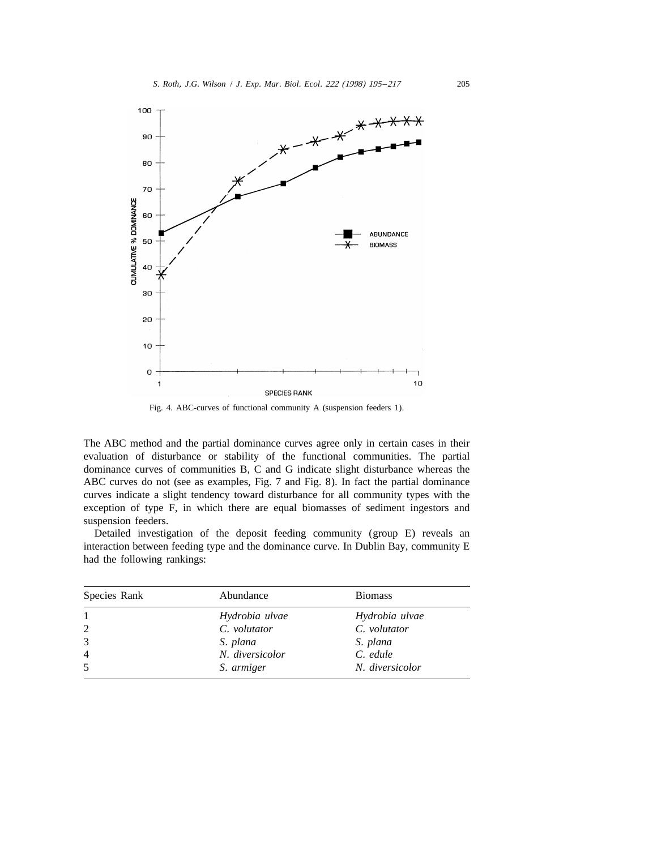

Fig. 4. ABC-curves of functional community A (suspension feeders 1).

The ABC method and the partial dominance curves agree only in certain cases in their evaluation of disturbance or stability of the functional communities. The partial dominance curves of communities B, C and G indicate slight disturbance whereas the ABC curves do not (see as examples, Fig. 7 and Fig. 8). In fact the partial dominance curves indicate a slight tendency toward disturbance for all community types with the exception of type F, in which there are equal biomasses of sediment ingestors and suspension feeders.

Detailed investigation of the deposit feeding community (group E) reveals an interaction between feeding type and the dominance curve. In Dublin Bay, community E had the following rankings:

| Species Rank | Abundance       | <b>Biomass</b>  |
|--------------|-----------------|-----------------|
| 1            | Hydrobia ulvae  | Hydrobia ulvae  |
| 2            | C. volutator    | C. volutator    |
| 3            | S. plana        | S. plana        |
| 4            | N. diversicolor | C. edule        |
| 5            | S. armiger      | N. diversicolor |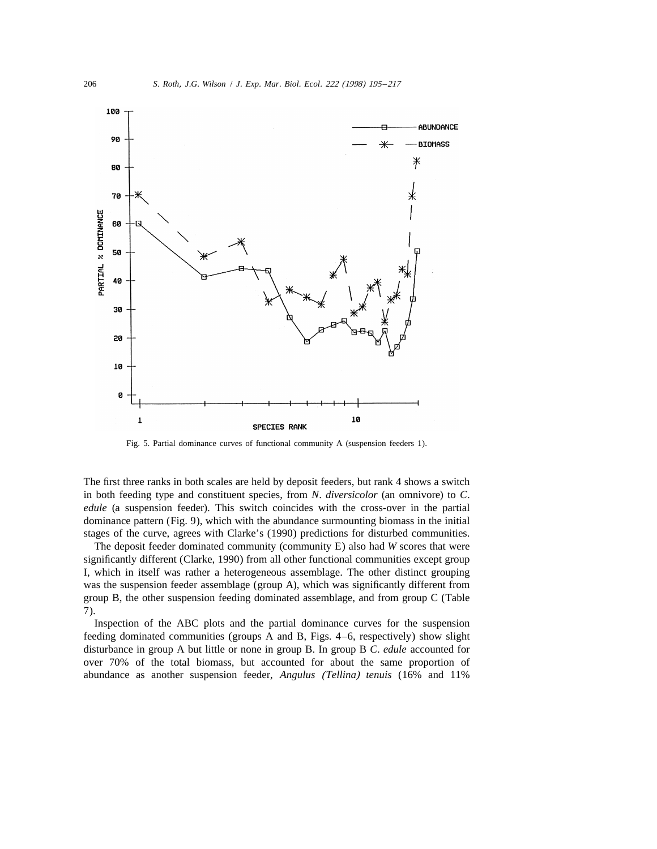

Fig. 5. Partial dominance curves of functional community A (suspension feeders 1).

The first three ranks in both scales are held by deposit feeders, but rank 4 shows a switch in both feeding type and constituent species, from *N*. *diversicolor* (an omnivore) to *C*. *edule* (a suspension feeder). This switch coincides with the cross-over in the partial dominance pattern (Fig. 9), which with the abundance surmounting biomass in the initial stages of the curve, agrees with Clarke's (1990) predictions for disturbed communities.

The deposit feeder dominated community (community E) also had *W* scores that were significantly different (Clarke, 1990) from all other functional communities except group I, which in itself was rather a heterogeneous assemblage. The other distinct grouping was the suspension feeder assemblage (group A), which was significantly different from group B, the other suspension feeding dominated assemblage, and from group C (Table 7).

Inspection of the ABC plots and the partial dominance curves for the suspension feeding dominated communities (groups A and B, Figs. 4–6, respectively) show slight disturbance in group A but little or none in group B. In group B *C*. *edule* accounted for over 70% of the total biomass, but accounted for about the same proportion of abundance as another suspension feeder, *Angulus* (*Tellina*) *tenuis* (16% and 11%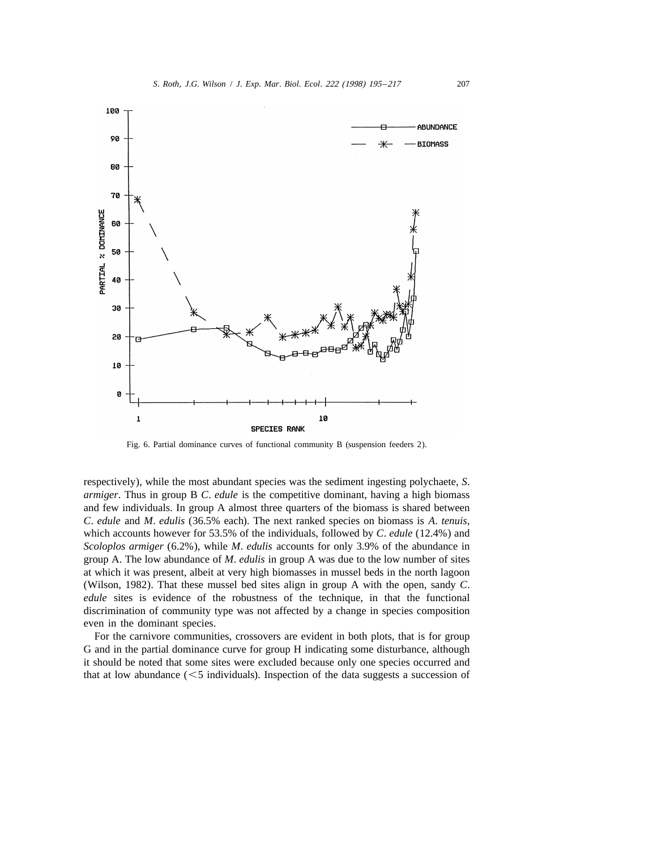

Fig. 6. Partial dominance curves of functional community B (suspension feeders 2).

respectively), while the most abundant species was the sediment ingesting polychaete, *S*. *armiger*. Thus in group B *C*. *edule* is the competitive dominant, having a high biomass and few individuals. In group A almost three quarters of the biomass is shared between *C*. *edule* and *M*. *edulis* (36.5% each). The next ranked species on biomass is *A*. *tenuis*, which accounts however for 53.5% of the individuals, followed by *C*. *edule* (12.4%) and *Scoloplos armiger* (6.2%), while *M*. *edulis* accounts for only 3.9% of the abundance in group A. The low abundance of *M*. *edulis* in group A was due to the low number of sites at which it was present, albeit at very high biomasses in mussel beds in the north lagoon (Wilson, 1982). That these mussel bed sites align in group A with the open, sandy *C*. *edule* sites is evidence of the robustness of the technique, in that the functional discrimination of community type was not affected by a change in species composition even in the dominant species.

For the carnivore communities, crossovers are evident in both plots, that is for group G and in the partial dominance curve for group H indicating some disturbance, although it should be noted that some sites were excluded because only one species occurred and that at low abundance  $(< 5$  individuals). Inspection of the data suggests a succession of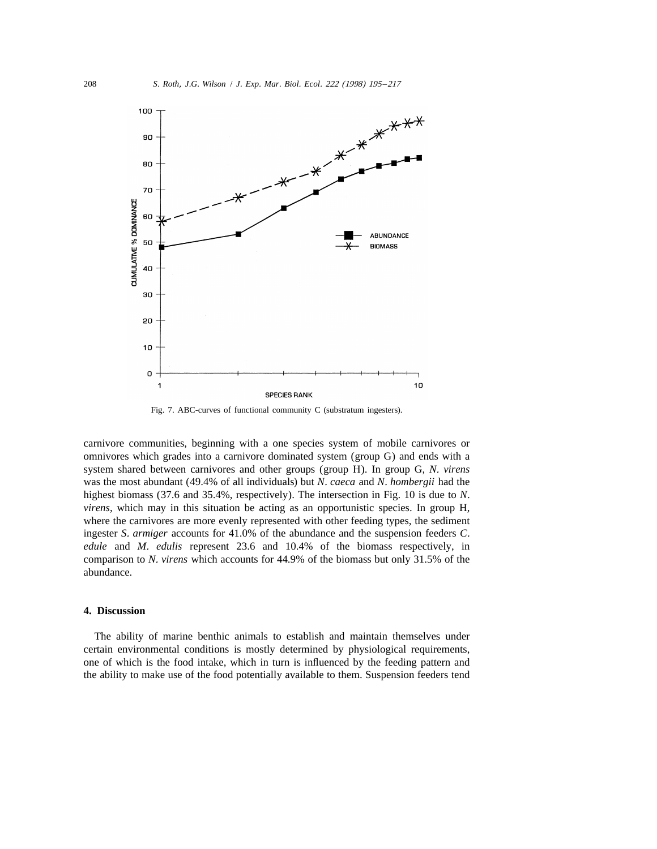

Fig. 7. ABC-curves of functional community C (substratum ingesters).

carnivore communities, beginning with a one species system of mobile carnivores or omnivores which grades into a carnivore dominated system (group G) and ends with a system shared between carnivores and other groups (group H). In group G, *N*. *virens* was the most abundant (49.4% of all individuals) but *N*. *caeca* and *N*. *hombergii* had the highest biomass (37.6 and 35.4%, respectively). The intersection in Fig. 10 is due to *N*. *virens*, which may in this situation be acting as an opportunistic species. In group H, where the carnivores are more evenly represented with other feeding types, the sediment ingester *S*. *armiger* accounts for 41.0% of the abundance and the suspension feeders *C*. *edule* and *M*. *edulis* represent 23.6 and 10.4% of the biomass respectively, in comparison to *N*. *virens* which accounts for 44.9% of the biomass but only 31.5% of the abundance.

### **4. Discussion**

The ability of marine benthic animals to establish and maintain themselves under certain environmental conditions is mostly determined by physiological requirements, one of which is the food intake, which in turn is influenced by the feeding pattern and the ability to make use of the food potentially available to them. Suspension feeders tend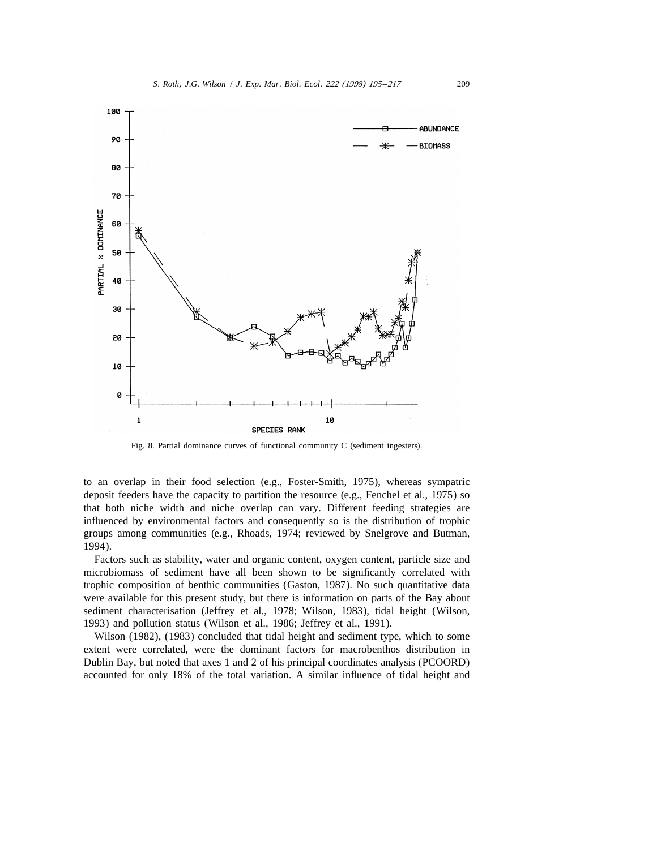

Fig. 8. Partial dominance curves of functional community C (sediment ingesters).

to an overlap in their food selection (e.g., Foster-Smith, 1975), whereas sympatric deposit feeders have the capacity to partition the resource (e.g., Fenchel et al., 1975) so that both niche width and niche overlap can vary. Different feeding strategies are influenced by environmental factors and consequently so is the distribution of trophic groups among communities (e.g., Rhoads, 1974; reviewed by Snelgrove and Butman, 1994).

Factors such as stability, water and organic content, oxygen content, particle size and microbiomass of sediment have all been shown to be significantly correlated with trophic composition of benthic communities (Gaston, 1987). No such quantitative data were available for this present study, but there is information on parts of the Bay about sediment characterisation (Jeffrey et al., 1978; Wilson, 1983), tidal height (Wilson, 1993) and pollution status (Wilson et al., 1986; Jeffrey et al., 1991).

Wilson (1982), (1983) concluded that tidal height and sediment type, which to some extent were correlated, were the dominant factors for macrobenthos distribution in Dublin Bay, but noted that axes 1 and 2 of his principal coordinates analysis (PCOORD) accounted for only 18% of the total variation. A similar influence of tidal height and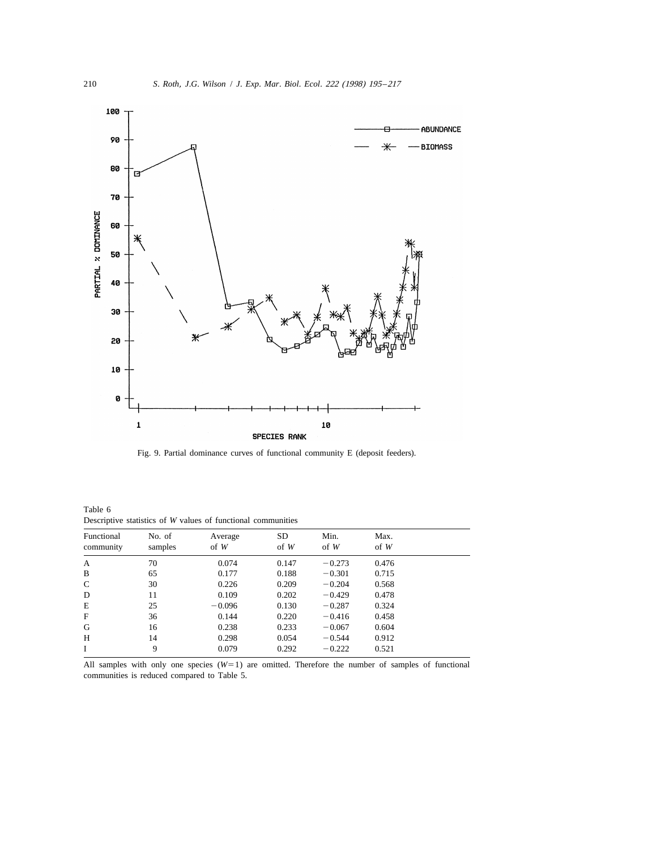

Fig. 9. Partial dominance curves of functional community E (deposit feeders).

| Table 6 |  |                                                              |  |
|---------|--|--------------------------------------------------------------|--|
|         |  | Descriptive statistics of W values of functional communities |  |
|         |  |                                                              |  |

| Functional<br>community | No. of<br>samples | Average<br>$of$ W | SD<br>$of$ W | Min.<br>$of \ W$ | Max.<br>$of \ W$ |  |
|-------------------------|-------------------|-------------------|--------------|------------------|------------------|--|
| A                       | 70                | 0.074             | 0.147        | $-0.273$         | 0.476            |  |
| B                       | 65                | 0.177             | 0.188        | $-0.301$         | 0.715            |  |
| $\mathsf{C}$            | 30                | 0.226             | 0.209        | $-0.204$         | 0.568            |  |
| D                       | 11                | 0.109             | 0.202        | $-0.429$         | 0.478            |  |
| E                       | 25                | $-0.096$          | 0.130        | $-0.287$         | 0.324            |  |
| F                       | 36                | 0.144             | 0.220        | $-0.416$         | 0.458            |  |
| G                       | 16                | 0.238             | 0.233        | $-0.067$         | 0.604            |  |
| H                       | 14                | 0.298             | 0.054        | $-0.544$         | 0.912            |  |
| Ι                       | 9                 | 0.079             | 0.292        | $-0.222$         | 0.521            |  |

All samples with only one species  $(W=1)$  are omitted. Therefore the number of samples of functional communities is reduced compared to Table 5.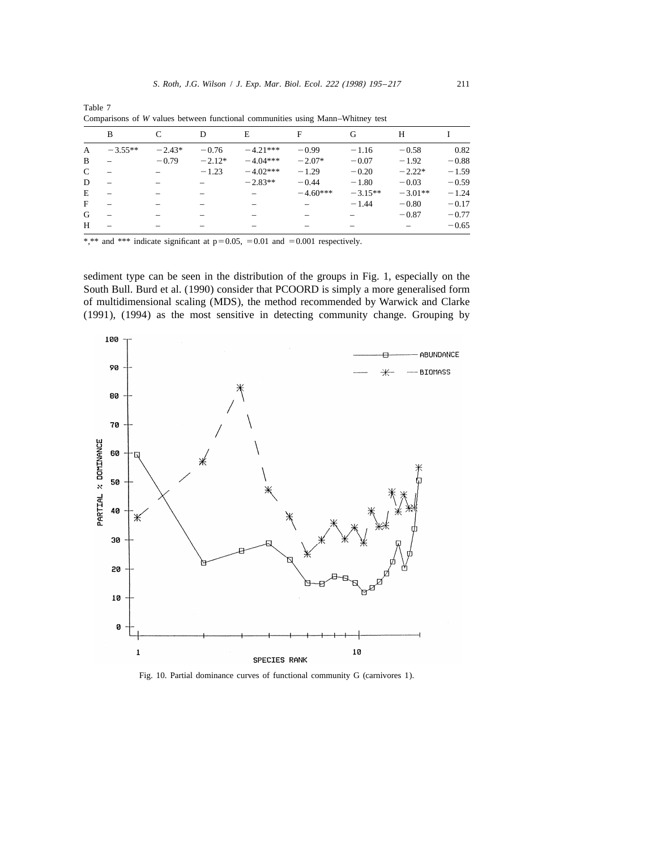|   | B                        | C        | D        | E          | F          | G         | Н         |         |
|---|--------------------------|----------|----------|------------|------------|-----------|-----------|---------|
| A | $-3.55**$                | $-2.43*$ | $-0.76$  | $-4.21***$ | $-0.99$    | $-1.16$   | $-0.58$   | 0.82    |
| B |                          | $-0.79$  | $-2.12*$ | $-4.04***$ | $-2.07*$   | $-0.07$   | $-1.92$   | $-0.88$ |
| C |                          |          | $-1.23$  | $-4.02***$ | $-1.29$    | $-0.20$   | $-2.22*$  | $-1.59$ |
| D | $\overline{\phantom{0}}$ |          |          | $-2.83**$  | $-0.44$    | $-1.80$   | $-0.03$   | $-0.59$ |
| E |                          |          |          |            | $-4.60***$ | $-3.15**$ | $-3.01**$ | $-1.24$ |
| F |                          |          |          |            |            | $-1.44$   | $-0.80$   | $-0.17$ |
| G |                          |          |          |            |            |           | $-0.87$   | $-0.77$ |
| H |                          |          |          |            |            |           |           | $-0.65$ |

Table 7 Comparisons of *W* values between functional communities using Mann–Whitney test

\*,\*\* and \*\*\* indicate significant at  $p=0.05$ ,  $=0.01$  and  $=0.001$  respectively.

sediment type can be seen in the distribution of the groups in Fig. 1, especially on the South Bull. Burd et al. (1990) consider that PCOORD is simply a more generalised form of multidimensional scaling (MDS), the method recommended by Warwick and Clarke (1991), (1994) as the most sensitive in detecting community change. Grouping by



Fig. 10. Partial dominance curves of functional community G (carnivores 1).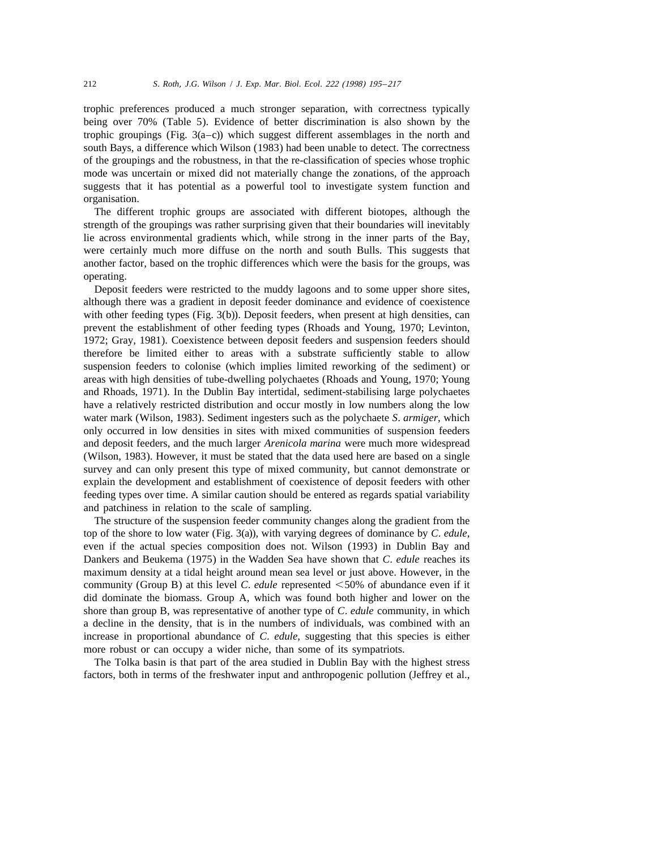trophic preferences produced a much stronger separation, with correctness typically being over 70% (Table 5). Evidence of better discrimination is also shown by the trophic groupings (Fig.  $3(a-c)$ ) which suggest different assemblages in the north and south Bays, a difference which Wilson (1983) had been unable to detect. The correctness of the groupings and the robustness, in that the re-classification of species whose trophic mode was uncertain or mixed did not materially change the zonations, of the approach suggests that it has potential as a powerful tool to investigate system function and organisation.

The different trophic groups are associated with different biotopes, although the strength of the groupings was rather surprising given that their boundaries will inevitably lie across environmental gradients which, while strong in the inner parts of the Bay, were certainly much more diffuse on the north and south Bulls. This suggests that another factor, based on the trophic differences which were the basis for the groups, was operating.

Deposit feeders were restricted to the muddy lagoons and to some upper shore sites, although there was a gradient in deposit feeder dominance and evidence of coexistence with other feeding types (Fig. 3(b)). Deposit feeders, when present at high densities, can prevent the establishment of other feeding types (Rhoads and Young, 1970; Levinton, 1972; Gray, 1981). Coexistence between deposit feeders and suspension feeders should therefore be limited either to areas with a substrate sufficiently stable to allow suspension feeders to colonise (which implies limited reworking of the sediment) or areas with high densities of tube-dwelling polychaetes (Rhoads and Young, 1970; Young and Rhoads, 1971). In the Dublin Bay intertidal, sediment-stabilising large polychaetes have a relatively restricted distribution and occur mostly in low numbers along the low water mark (Wilson, 1983). Sediment ingesters such as the polychaete *S*. *armiger*, which only occurred in low densities in sites with mixed communities of suspension feeders and deposit feeders, and the much larger *Arenicola marina* were much more widespread (Wilson, 1983). However, it must be stated that the data used here are based on a single survey and can only present this type of mixed community, but cannot demonstrate or explain the development and establishment of coexistence of deposit feeders with other feeding types over time. A similar caution should be entered as regards spatial variability and patchiness in relation to the scale of sampling.

The structure of the suspension feeder community changes along the gradient from the top of the shore to low water (Fig. 3(a)), with varying degrees of dominance by *C*. *edule*, even if the actual species composition does not. Wilson (1993) in Dublin Bay and Dankers and Beukema (1975) in the Wadden Sea have shown that *C*. *edule* reaches its maximum density at a tidal height around mean sea level or just above. However, in the community (Group B) at this level *C. edule* represented  $<$  50% of abundance even if it did dominate the biomass. Group A, which was found both higher and lower on the shore than group B, was representative of another type of *C*. *edule* community, in which a decline in the density, that is in the numbers of individuals, was combined with an increase in proportional abundance of *C*. *edule*, suggesting that this species is either more robust or can occupy a wider niche, than some of its sympatriots.

The Tolka basin is that part of the area studied in Dublin Bay with the highest stress factors, both in terms of the freshwater input and anthropogenic pollution (Jeffrey et al.,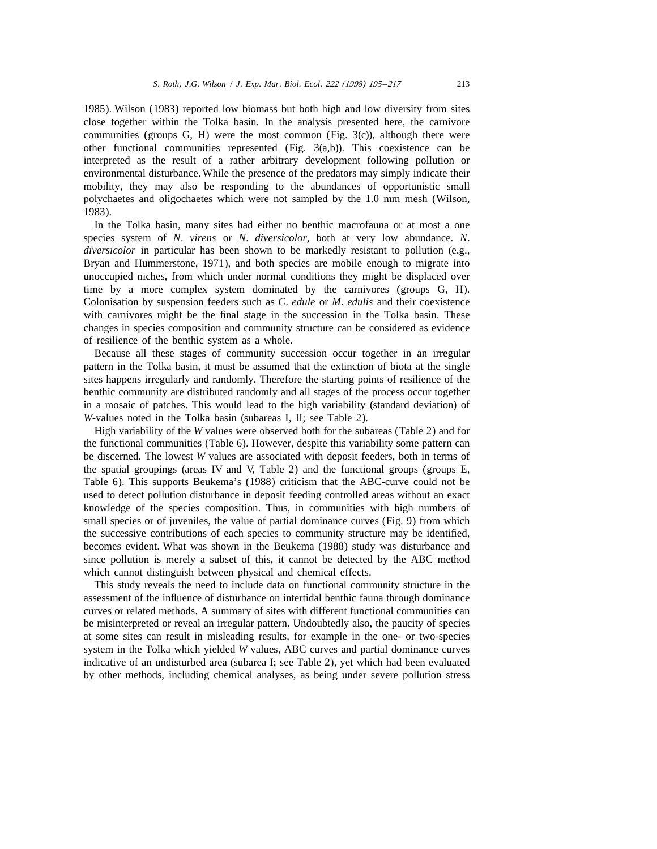1985). Wilson (1983) reported low biomass but both high and low diversity from sites close together within the Tolka basin. In the analysis presented here, the carnivore communities (groups G, H) were the most common (Fig. 3(c)), although there were other functional communities represented (Fig. 3(a,b)). This coexistence can be interpreted as the result of a rather arbitrary development following pollution or environmental disturbance. While the presence of the predators may simply indicate their mobility, they may also be responding to the abundances of opportunistic small polychaetes and oligochaetes which were not sampled by the 1.0 mm mesh (Wilson, 1983).

In the Tolka basin, many sites had either no benthic macrofauna or at most a one species system of *N*. *virens* or *N*. *diversicolor*, both at very low abundance. *N*. *diversicolor* in particular has been shown to be markedly resistant to pollution (e.g., Bryan and Hummerstone, 1971), and both species are mobile enough to migrate into unoccupied niches, from which under normal conditions they might be displaced over time by a more complex system dominated by the carnivores (groups G, H). Colonisation by suspension feeders such as *C*. *edule* or *M*. *edulis* and their coexistence with carnivores might be the final stage in the succession in the Tolka basin. These changes in species composition and community structure can be considered as evidence of resilience of the benthic system as a whole.

Because all these stages of community succession occur together in an irregular pattern in the Tolka basin, it must be assumed that the extinction of biota at the single sites happens irregularly and randomly. Therefore the starting points of resilience of the benthic community are distributed randomly and all stages of the process occur together in a mosaic of patches. This would lead to the high variability (standard deviation) of *W*-values noted in the Tolka basin (subareas I, II; see Table 2).

High variability of the *W* values were observed both for the subareas (Table 2) and for the functional communities (Table 6). However, despite this variability some pattern can be discerned. The lowest *W* values are associated with deposit feeders, both in terms of the spatial groupings (areas IV and V, Table 2) and the functional groups (groups E, Table 6). This supports Beukema's (1988) criticism that the ABC-curve could not be used to detect pollution disturbance in deposit feeding controlled areas without an exact knowledge of the species composition. Thus, in communities with high numbers of small species or of juveniles, the value of partial dominance curves (Fig. 9) from which the successive contributions of each species to community structure may be identified, becomes evident. What was shown in the Beukema (1988) study was disturbance and since pollution is merely a subset of this, it cannot be detected by the ABC method which cannot distinguish between physical and chemical effects.

This study reveals the need to include data on functional community structure in the assessment of the influence of disturbance on intertidal benthic fauna through dominance curves or related methods. A summary of sites with different functional communities can be misinterpreted or reveal an irregular pattern. Undoubtedly also, the paucity of species at some sites can result in misleading results, for example in the one- or two-species system in the Tolka which yielded *W* values, ABC curves and partial dominance curves indicative of an undisturbed area (subarea I; see Table 2), yet which had been evaluated by other methods, including chemical analyses, as being under severe pollution stress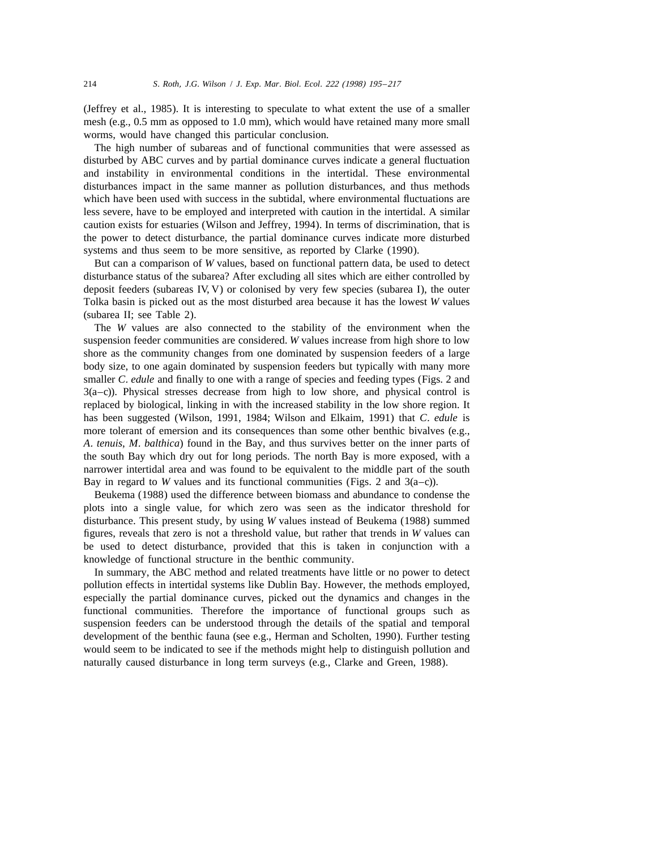(Jeffrey et al., 1985). It is interesting to speculate to what extent the use of a smaller mesh (e.g., 0.5 mm as opposed to 1.0 mm), which would have retained many more small worms, would have changed this particular conclusion.

The high number of subareas and of functional communities that were assessed as disturbed by ABC curves and by partial dominance curves indicate a general fluctuation and instability in environmental conditions in the intertidal. These environmental disturbances impact in the same manner as pollution disturbances, and thus methods which have been used with success in the subtidal, where environmental fluctuations are less severe, have to be employed and interpreted with caution in the intertidal. A similar caution exists for estuaries (Wilson and Jeffrey, 1994). In terms of discrimination, that is the power to detect disturbance, the partial dominance curves indicate more disturbed systems and thus seem to be more sensitive, as reported by Clarke (1990).

But can a comparison of *W* values, based on functional pattern data, be used to detect disturbance status of the subarea? After excluding all sites which are either controlled by deposit feeders (subareas IV, V) or colonised by very few species (subarea I), the outer Tolka basin is picked out as the most disturbed area because it has the lowest *W* values (subarea II; see Table 2).

The *W* values are also connected to the stability of the environment when the suspension feeder communities are considered. *W* values increase from high shore to low shore as the community changes from one dominated by suspension feeders of a large body size, to one again dominated by suspension feeders but typically with many more smaller *C. edule* and finally to one with a range of species and feeding types (Figs. 2 and  $3(a-c)$ ). Physical stresses decrease from high to low shore, and physical control is replaced by biological, linking in with the increased stability in the low shore region. It has been suggested (Wilson, 1991, 1984; Wilson and Elkaim, 1991) that *C*. *edule* is more tolerant of emersion and its consequences than some other benthic bivalves (e.g., *A*. *tenuis*, *M*. *balthica*) found in the Bay, and thus survives better on the inner parts of the south Bay which dry out for long periods. The north Bay is more exposed, with a narrower intertidal area and was found to be equivalent to the middle part of the south Bay in regard to *W* values and its functional communities (Figs. 2 and  $3(a-c)$ ).

Beukema (1988) used the difference between biomass and abundance to condense the plots into a single value, for which zero was seen as the indicator threshold for disturbance. This present study, by using *W* values instead of Beukema (1988) summed figures, reveals that zero is not a threshold value, but rather that trends in *W* values can be used to detect disturbance, provided that this is taken in conjunction with a knowledge of functional structure in the benthic community.

In summary, the ABC method and related treatments have little or no power to detect pollution effects in intertidal systems like Dublin Bay. However, the methods employed, especially the partial dominance curves, picked out the dynamics and changes in the functional communities. Therefore the importance of functional groups such as suspension feeders can be understood through the details of the spatial and temporal development of the benthic fauna (see e.g., Herman and Scholten, 1990). Further testing would seem to be indicated to see if the methods might help to distinguish pollution and naturally caused disturbance in long term surveys (e.g., Clarke and Green, 1988).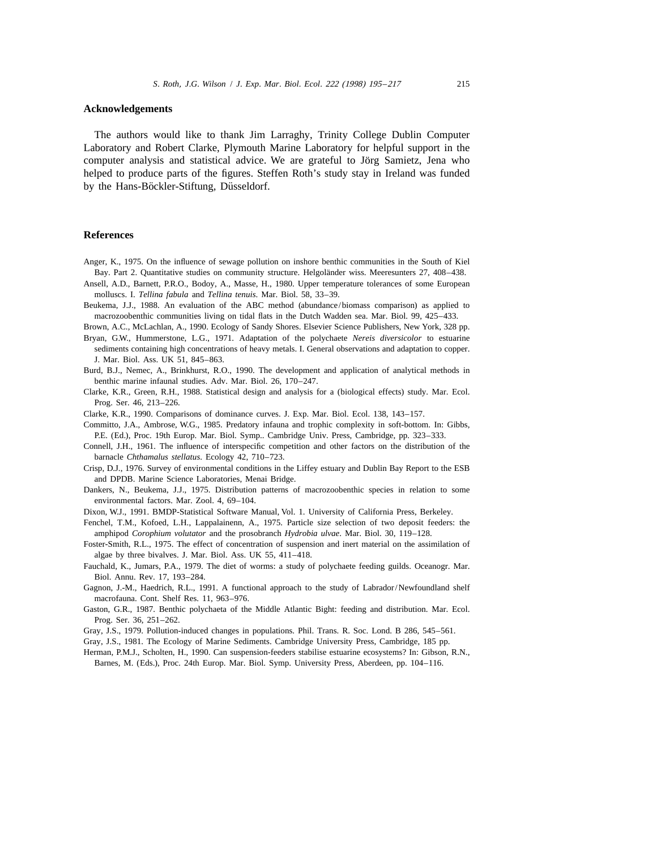#### **Acknowledgements**

The authors would like to thank Jim Larraghy, Trinity College Dublin Computer Laboratory and Robert Clarke, Plymouth Marine Laboratory for helpful support in the computer analysis and statistical advice. We are grateful to Jörg Samietz, Jena who helped to produce parts of the figures. Steffen Roth's study stay in Ireland was funded by the Hans-Böckler-Stiftung, Düsseldorf.

## **References**

- Anger, K., 1975. On the influence of sewage pollution on inshore benthic communities in the South of Kiel Bay. Part 2. Quantitative studies on community structure. Helgoländer wiss. Meeresunters 27, 408–438.
- Ansell, A.D., Barnett, P.R.O., Bodoy, A., Masse, H., 1980. Upper temperature tolerances of some European molluscs. I. *Tellina fabula* and *Tellina tenuis*. Mar. Biol. 58, 33–39.
- Beukema, J.J., 1988. An evaluation of the ABC method (abundance/biomass comparison) as applied to macrozoobenthic communities living on tidal flats in the Dutch Wadden sea. Mar. Biol. 99, 425–433.
- Brown, A.C., McLachlan, A., 1990. Ecology of Sandy Shores. Elsevier Science Publishers, New York, 328 pp.
- Bryan, G.W., Hummerstone, L.G., 1971. Adaptation of the polychaete *Nereis diversicolor* to estuarine sediments containing high concentrations of heavy metals. I. General observations and adaptation to copper. J. Mar. Biol. Ass. UK 51, 845–863.
- Burd, B.J., Nemec, A., Brinkhurst, R.O., 1990. The development and application of analytical methods in benthic marine infaunal studies. Adv. Mar. Biol. 26, 170–247.
- Clarke, K.R., Green, R.H., 1988. Statistical design and analysis for a (biological effects) study. Mar. Ecol. Prog. Ser. 46, 213–226.
- Clarke, K.R., 1990. Comparisons of dominance curves. J. Exp. Mar. Biol. Ecol. 138, 143–157.
- Committo, J.A., Ambrose, W.G., 1985. Predatory infauna and trophic complexity in soft-bottom. In: Gibbs, P.E. (Ed.), Proc. 19th Europ. Mar. Biol. Symp.. Cambridge Univ. Press, Cambridge, pp. 323–333.
- Connell, J.H., 1961. The influence of interspecific competition and other factors on the distribution of the barnacle *Chthamalus stellatus*. Ecology 42, 710–723.
- Crisp, D.J., 1976. Survey of environmental conditions in the Liffey estuary and Dublin Bay Report to the ESB and DPDB. Marine Science Laboratories, Menai Bridge.
- Dankers, N., Beukema, J.J., 1975. Distribution patterns of macrozoobenthic species in relation to some environmental factors. Mar. Zool. 4, 69–104.
- Dixon, W.J., 1991. BMDP-Statistical Software Manual, Vol. 1. University of California Press, Berkeley.
- Fenchel, T.M., Kofoed, L.H., Lappalainenn, A., 1975. Particle size selection of two deposit feeders: the amphipod *Corophium volutator* and the prosobranch *Hydrobia ulvae*. Mar. Biol. 30, 119–128.
- Foster-Smith, R.L., 1975. The effect of concentration of suspension and inert material on the assimilation of algae by three bivalves. J. Mar. Biol. Ass. UK 55, 411–418.
- Fauchald, K., Jumars, P.A., 1979. The diet of worms: a study of polychaete feeding guilds. Oceanogr. Mar. Biol. Annu. Rev. 17, 193–284.
- Gagnon, J.-M., Haedrich, R.L., 1991. A functional approach to the study of Labrador/Newfoundland shelf macrofauna. Cont. Shelf Res. 11, 963–976.
- Gaston, G.R., 1987. Benthic polychaeta of the Middle Atlantic Bight: feeding and distribution. Mar. Ecol. Prog. Ser. 36, 251–262.
- Gray, J.S., 1979. Pollution-induced changes in populations. Phil. Trans. R. Soc. Lond. B 286, 545–561.
- Gray, J.S., 1981. The Ecology of Marine Sediments. Cambridge University Press, Cambridge, 185 pp.
- Herman, P.M.J., Scholten, H., 1990. Can suspension-feeders stabilise estuarine ecosystems? In: Gibson, R.N., Barnes, M. (Eds.), Proc. 24th Europ. Mar. Biol. Symp. University Press, Aberdeen, pp. 104–116.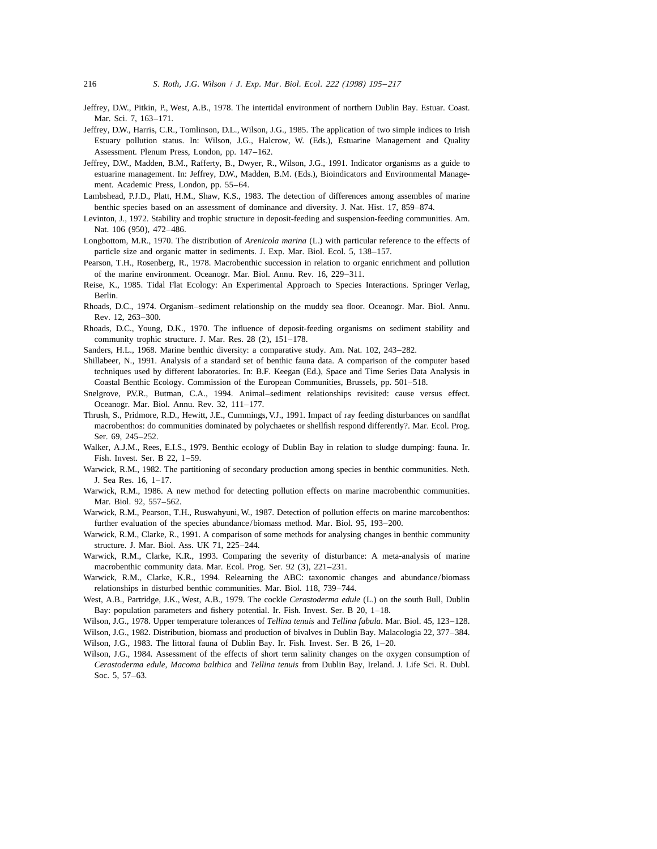- Jeffrey, D.W., Pitkin, P., West, A.B., 1978. The intertidal environment of northern Dublin Bay. Estuar. Coast. Mar. Sci. 7, 163–171.
- Jeffrey, D.W., Harris, C.R., Tomlinson, D.L., Wilson, J.G., 1985. The application of two simple indices to Irish Estuary pollution status. In: Wilson, J.G., Halcrow, W. (Eds.), Estuarine Management and Quality Assessment. Plenum Press, London, pp. 147–162.
- Jeffrey, D.W., Madden, B.M., Rafferty, B., Dwyer, R., Wilson, J.G., 1991. Indicator organisms as a guide to estuarine management. In: Jeffrey, D.W., Madden, B.M. (Eds.), Bioindicators and Environmental Management. Academic Press, London, pp. 55–64.
- Lambshead, P.J.D., Platt, H.M., Shaw, K.S., 1983. The detection of differences among assembles of marine benthic species based on an assessment of dominance and diversity. J. Nat. Hist. 17, 859–874.
- Levinton, J., 1972. Stability and trophic structure in deposit-feeding and suspension-feeding communities. Am. Nat. 106 (950), 472–486.
- Longbottom, M.R., 1970. The distribution of *Arenicola marina* (L.) with particular reference to the effects of particle size and organic matter in sediments. J. Exp. Mar. Biol. Ecol. 5, 138–157.
- Pearson, T.H., Rosenberg, R., 1978. Macrobenthic succession in relation to organic enrichment and pollution of the marine environment. Oceanogr. Mar. Biol. Annu. Rev. 16, 229–311.
- Reise, K., 1985. Tidal Flat Ecology: An Experimental Approach to Species Interactions. Springer Verlag, Berlin.
- Rhoads, D.C., 1974. Organism–sediment relationship on the muddy sea floor. Oceanogr. Mar. Biol. Annu. Rev. 12, 263–300.
- Rhoads, D.C., Young, D.K., 1970. The influence of deposit-feeding organisms on sediment stability and community trophic structure. J. Mar. Res. 28 (2), 151–178.
- Sanders, H.L., 1968. Marine benthic diversity: a comparative study. Am. Nat. 102, 243–282.
- Shillabeer, N., 1991. Analysis of a standard set of benthic fauna data. A comparison of the computer based techniques used by different laboratories. In: B.F. Keegan (Ed.), Space and Time Series Data Analysis in Coastal Benthic Ecology. Commission of the European Communities, Brussels, pp. 501–518.
- Snelgrove, P.V.R., Butman, C.A., 1994. Animal–sediment relationships revisited: cause versus effect. Oceanogr. Mar. Biol. Annu. Rev. 32, 111–177.
- Thrush, S., Pridmore, R.D., Hewitt, J.E., Cummings, V.J., 1991. Impact of ray feeding disturbances on sandflat macrobenthos: do communities dominated by polychaetes or shellfish respond differently?. Mar. Ecol. Prog. Ser. 69, 245–252.
- Walker, A.J.M., Rees, E.I.S., 1979. Benthic ecology of Dublin Bay in relation to sludge dumping: fauna. Ir. Fish. Invest. Ser. B 22, 1–59.
- Warwick, R.M., 1982. The partitioning of secondary production among species in benthic communities. Neth. J. Sea Res. 16, 1–17.
- Warwick, R.M., 1986. A new method for detecting pollution effects on marine macrobenthic communities. Mar. Biol. 92, 557–562.
- Warwick, R.M., Pearson, T.H., Ruswahyuni, W., 1987. Detection of pollution effects on marine marcobenthos: further evaluation of the species abundance/biomass method. Mar. Biol. 95, 193–200.
- Warwick, R.M., Clarke, R., 1991. A comparison of some methods for analysing changes in benthic community structure. J. Mar. Biol. Ass. UK 71, 225–244.
- Warwick, R.M., Clarke, K.R., 1993. Comparing the severity of disturbance: A meta-analysis of marine macrobenthic community data. Mar. Ecol. Prog. Ser. 92 (3), 221–231.
- Warwick, R.M., Clarke, K.R., 1994. Relearning the ABC: taxonomic changes and abundance/biomass relationships in disturbed benthic communities. Mar. Biol. 118, 739–744.
- West, A.B., Partridge, J.K., West, A.B., 1979. The cockle *Cerastoderma edule* (L.) on the south Bull, Dublin Bay: population parameters and fishery potential. Ir. Fish. Invest. Ser. B 20, 1–18.

Wilson, J.G., 1978. Upper temperature tolerances of *Tellina tenuis* and *Tellina fabula*. Mar. Biol. 45, 123–128.

- Wilson, J.G., 1982. Distribution, biomass and production of bivalves in Dublin Bay. Malacologia 22, 377–384.
- Wilson, J.G., 1983. The littoral fauna of Dublin Bay. Ir. Fish. Invest. Ser. B 26, 1–20.
- Wilson, J.G., 1984. Assessment of the effects of short term salinity changes on the oxygen consumption of *Cerastoderma edule*, *Macoma balthica* and *Tellina tenuis* from Dublin Bay, Ireland. J. Life Sci. R. Dubl. Soc. 5, 57–63.